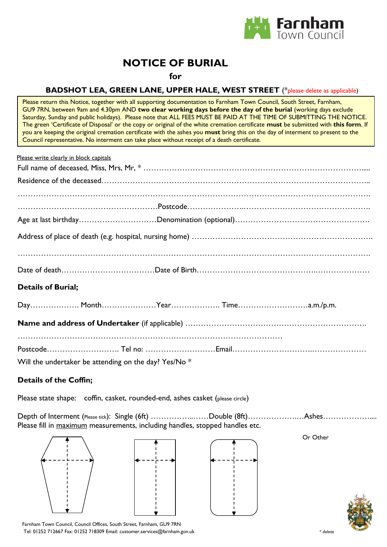

# **NOTICE OF BURIAL**

**for**

### **BADSHOT LEA, GREEN LANE, UPPER HALE, WEST STREET** (\*please delete as applicable)

Please return this Notice, together with all supporting documentation to Farnham Town Council, South Street, Farnham, GU9 7RN, between 9am and 4.30pm AND **two clear working days before the day of the burial** (working days exclude Saturday, Sunday and public holidays). Please note that ALL FEES MUST BE PAID AT THE TIME OF SUBMITTING THE NOTICE. The green 'Certificate of Disposal' or the copy or original of the white cremation certificate **must** be submitted with **this form**. If you are keeping the original cremation certificate with the ashes you **must** bring this on the day of interment to present to the Council representative. No interment can take place without receipt of a death certificate.

| Please write clearly in block capitals                |
|-------------------------------------------------------|
|                                                       |
|                                                       |
|                                                       |
|                                                       |
|                                                       |
|                                                       |
|                                                       |
|                                                       |
| <b>Details of Burial;</b>                             |
|                                                       |
|                                                       |
|                                                       |
|                                                       |
| Will the undertaker be attending on the day? Yes/No * |

#### **Details of the Coffin;**

Please state shape: coffin, casket, rounded-end, ashes casket (please circle)

Depth of Interment (Please tick): Single (6ft) ……………………Double (8ft)………………………Ashes………………… Please fill in maximum measurements, including handles, stopped handles etc.





Or Other



Farnham Town Council, Council Offices, South Street, Farnham, GU9 7RN Tel: 01252 712667 Fax: 01252 718309 Email: customer.services@farnham.gov.uk